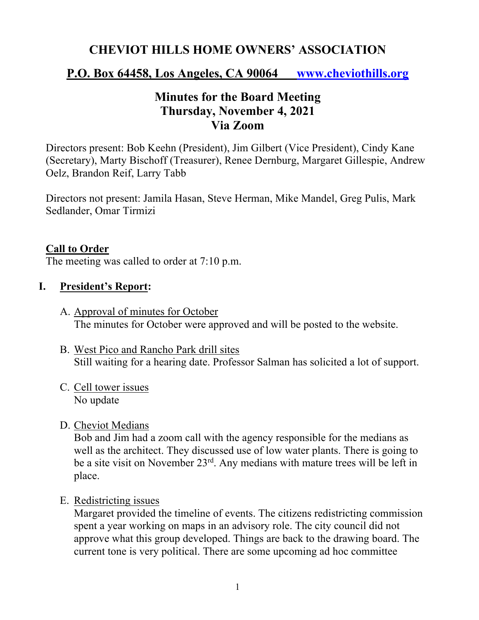# **CHEVIOT HILLS HOME OWNERS' ASSOCIATION**

### **P.O. Box 64458, Los Angeles, CA 90064 www.cheviothills.org**

# **Minutes for the Board Meeting Thursday, November 4, 2021 Via Zoom**

Directors present: Bob Keehn (President), Jim Gilbert (Vice President), Cindy Kane (Secretary), Marty Bischoff (Treasurer), Renee Dernburg, Margaret Gillespie, Andrew Oelz, Brandon Reif, Larry Tabb

Directors not present: Jamila Hasan, Steve Herman, Mike Mandel, Greg Pulis, Mark Sedlander, Omar Tirmizi

#### **Call to Order**

The meeting was called to order at 7:10 p.m.

#### **I. President's Report:**

- A. Approval of minutes for October The minutes for October were approved and will be posted to the website.
- B. West Pico and Rancho Park drill sites Still waiting for a hearing date. Professor Salman has solicited a lot of support.
- C. Cell tower issues No update
- D. Cheviot Medians

Bob and Jim had a zoom call with the agency responsible for the medians as well as the architect. They discussed use of low water plants. There is going to be a site visit on November 23rd. Any medians with mature trees will be left in place.

E. Redistricting issues

Margaret provided the timeline of events. The citizens redistricting commission spent a year working on maps in an advisory role. The city council did not approve what this group developed. Things are back to the drawing board. The current tone is very political. There are some upcoming ad hoc committee